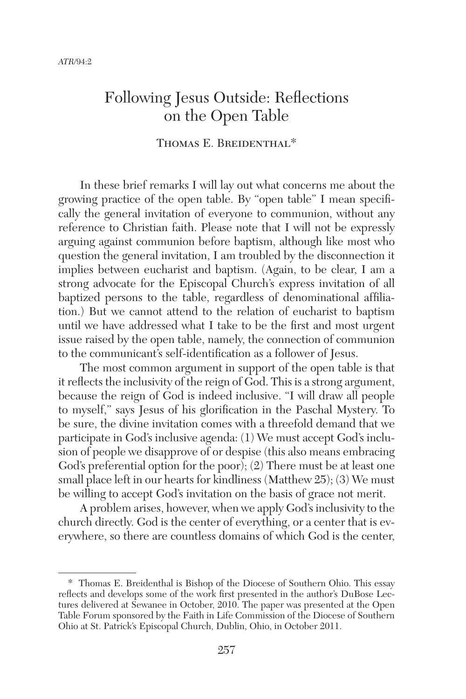# Following Jesus Outside: Reflections on the Open Table

## THOMAS E. BREIDENTHAL\*

In these brief remarks I will lay out what concerns me about the growing practice of the open table. By "open table" I mean specifically the general invitation of everyone to communion, without any reference to Christian faith. Please note that I will not be expressly arguing against communion before baptism, although like most who question the general invitation, I am troubled by the disconnection it implies between eucharist and baptism. (Again, to be clear, I am a strong advocate for the Episcopal Church's express invitation of all baptized persons to the table, regardless of denominational affiliation.) But we cannot attend to the relation of eucharist to baptism until we have addressed what I take to be the first and most urgent issue raised by the open table, namely, the connection of communion to the communicant's self-identification as a follower of Jesus.

The most common argument in support of the open table is that it reflects the inclusivity of the reign of God. This is a strong argument, because the reign of God is indeed inclusive. "I will draw all people to myself," says Jesus of his glorification in the Paschal Mystery. To be sure, the divine invitation comes with a threefold demand that we participate in God's inclusive agenda: (1) We must accept God's inclusion of people we disapprove of or despise (this also means embracing God's preferential option for the poor); (2) There must be at least one small place left in our hearts for kindliness (Matthew 25); (3) We must be willing to accept God's invitation on the basis of grace not merit.

A problem arises, however, when we apply God's inclusivity to the church directly. God is the center of everything, or a center that is everywhere, so there are countless domains of which God is the center,

<sup>\*</sup> Thomas E. Breidenthal is Bishop of the Diocese of Southern Ohio. This essay reflects and develops some of the work first presented in the author's DuBose Lectures delivered at Sewanee in October, 2010. The paper was presented at the Open Table Forum sponsored by the Faith in Life Commission of the Diocese of Southern Ohio at St. Patrick's Episcopal Church, Dublin, Ohio, in October 2011.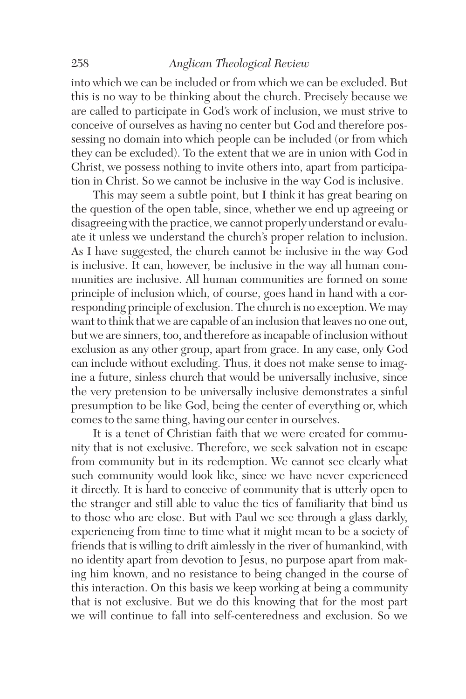### 258 *Anglican Theological Review*

into which we can be included or from which we can be excluded. But this is no way to be thinking about the church. Precisely because we are called to participate in God's work of inclusion, we must strive to conceive of ourselves as having no center but God and therefore possessing no domain into which people can be included (or from which they can be excluded). To the extent that we are in union with God in Christ, we possess nothing to invite others into, apart from participation in Christ. So we cannot be inclusive in the way God is inclusive.

This may seem a subtle point, but I think it has great bearing on the question of the open table, since, whether we end up agreeing or disagreeing with the practice, we cannot properly understand or evaluate it unless we understand the church's proper relation to inclusion. As I have suggested, the church cannot be inclusive in the way God is inclusive. It can, however, be inclusive in the way all human communities are inclusive. All human communities are formed on some principle of inclusion which, of course, goes hand in hand with a corresponding principle of exclusion. The church is no exception. We may want to think that we are capable of an inclusion that leaves no one out, but we are sinners, too, and therefore as incapable of inclusion without exclusion as any other group, apart from grace. In any case, only God can include without excluding. Thus, it does not make sense to imagine a future, sinless church that would be universally inclusive, since the very pretension to be universally inclusive demonstrates a sinful presumption to be like God, being the center of everything or, which comes to the same thing, having our center in ourselves.

It is a tenet of Christian faith that we were created for community that is not exclusive. Therefore, we seek salvation not in escape from community but in its redemption. We cannot see clearly what such community would look like, since we have never experienced it directly. It is hard to conceive of community that is utterly open to the stranger and still able to value the ties of familiarity that bind us to those who are close. But with Paul we see through a glass darkly, experiencing from time to time what it might mean to be a society of friends that is willing to drift aimlessly in the river of humankind, with no identity apart from devotion to Jesus, no purpose apart from making him known, and no resistance to being changed in the course of this interaction. On this basis we keep working at being a community that is not exclusive. But we do this knowing that for the most part we will continue to fall into self-centeredness and exclusion. So we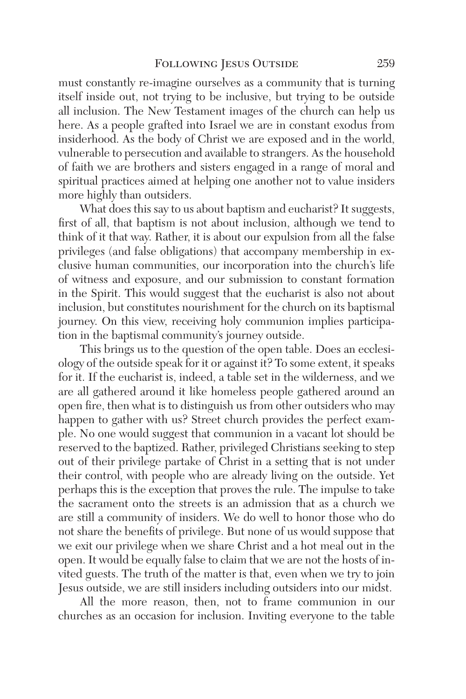must constantly re-imagine ourselves as a community that is turning itself inside out, not trying to be inclusive, but trying to be outside all inclusion. The New Testament images of the church can help us here. As a people grafted into Israel we are in constant exodus from insiderhood. As the body of Christ we are exposed and in the world, vulnerable to persecution and available to strangers. As the household of faith we are brothers and sisters engaged in a range of moral and spiritual practices aimed at helping one another not to value insiders more highly than outsiders.

What does this say to us about baptism and eucharist? It suggests, first of all, that baptism is not about inclusion, although we tend to think of it that way. Rather, it is about our expulsion from all the false privileges (and false obligations) that accompany membership in exclusive human communities, our incorporation into the church's life of witness and exposure, and our submission to constant formation in the Spirit. This would suggest that the eucharist is also not about inclusion, but constitutes nourishment for the church on its baptismal journey. On this view, receiving holy communion implies participation in the baptismal community's journey outside.

This brings us to the question of the open table. Does an ecclesiology of the outside speak for it or against it? To some extent, it speaks for it. If the eucharist is, indeed, a table set in the wilderness, and we are all gathered around it like homeless people gathered around an open fire, then what is to distinguish us from other outsiders who may happen to gather with us? Street church provides the perfect example. No one would suggest that communion in a vacant lot should be reserved to the baptized. Rather, privileged Christians seeking to step out of their privilege partake of Christ in a setting that is not under their control, with people who are already living on the outside. Yet perhaps this is the exception that proves the rule. The impulse to take the sacrament onto the streets is an admission that as a church we are still a community of insiders. We do well to honor those who do not share the benefits of privilege. But none of us would suppose that we exit our privilege when we share Christ and a hot meal out in the open. It would be equally false to claim that we are not the hosts of invited guests. The truth of the matter is that, even when we try to join Jesus outside, we are still insiders including outsiders into our midst.

All the more reason, then, not to frame communion in our churches as an occasion for inclusion. Inviting everyone to the table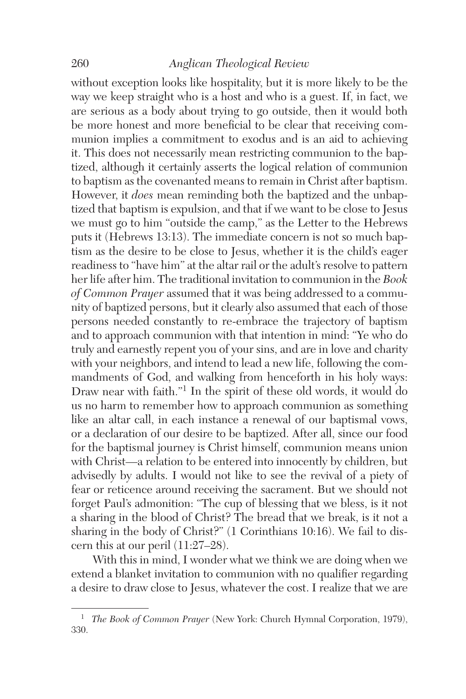### 260 *Anglican Theological Review*

without exception looks like hospitality, but it is more likely to be the way we keep straight who is a host and who is a guest. If, in fact, we are serious as a body about trying to go outside, then it would both be more honest and more beneficial to be clear that receiving communion implies a commitment to exodus and is an aid to achieving it. This does not necessarily mean restricting communion to the baptized, although it certainly asserts the logical relation of communion to baptism as the covenanted means to remain in Christ after baptism. However, it *does* mean reminding both the baptized and the unbaptized that baptism is expulsion, and that if we want to be close to Jesus we must go to him "outside the camp," as the Letter to the Hebrews puts it (Hebrews 13:13). The immediate concern is not so much baptism as the desire to be close to Jesus, whether it is the child's eager readiness to "have him" at the altar rail or the adult's resolve to pattern her life after him. The traditional invitation to communion in the *Book of Common Prayer* assumed that it was being addressed to a community of baptized persons, but it clearly also assumed that each of those persons needed constantly to re-embrace the trajectory of baptism and to approach communion with that intention in mind: "Ye who do truly and earnestly repent you of your sins, and are in love and charity with your neighbors, and intend to lead a new life, following the commandments of God, and walking from henceforth in his holy ways: Draw near with faith."<sup>1</sup> In the spirit of these old words, it would do us no harm to remember how to approach communion as something like an altar call, in each instance a renewal of our baptismal vows, or a declaration of our desire to be baptized. After all, since our food for the baptismal journey is Christ himself, communion means union with Christ—a relation to be entered into innocently by children, but advisedly by adults. I would not like to see the revival of a piety of fear or reticence around receiving the sacrament. But we should not forget Paul's admonition: "The cup of blessing that we bless, is it not a sharing in the blood of Christ? The bread that we break, is it not a sharing in the body of Christ?" (1 Corinthians 10:16). We fail to discern this at our peril (11:27–28).

With this in mind, I wonder what we think we are doing when we extend a blanket invitation to communion with no qualifier regarding a desire to draw close to Jesus, whatever the cost. I realize that we are

<sup>1</sup> *The Book of Common Prayer* (New York: Church Hymnal Corporation, 1979), 330.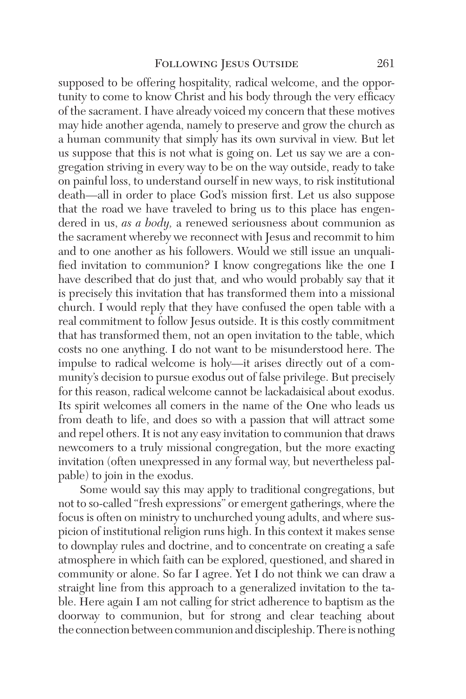supposed to be offering hospitality, radical welcome, and the opportunity to come to know Christ and his body through the very efficacy of the sacrament. I have already voiced my concern that these motives may hide another agenda, namely to preserve and grow the church as a human community that simply has its own survival in view. But let us suppose that this is not what is going on. Let us say we are a congregation striving in every way to be on the way outside, ready to take on painful loss, to understand ourself in new ways, to risk institutional death—all in order to place God's mission first. Let us also suppose that the road we have traveled to bring us to this place has engendered in us, *as a body,* a renewed seriousness about communion as the sacrament whereby we reconnect with Jesus and recommit to him and to one another as his followers. Would we still issue an unqualified invitation to communion? I know congregations like the one I have described that do just that*,* and who would probably say that it is precisely this invitation that has transformed them into a missional church. I would reply that they have confused the open table with a real commitment to follow Jesus outside. It is this costly commitment that has transformed them, not an open invitation to the table, which costs no one anything. I do not want to be misunderstood here. The impulse to radical welcome is holy—it arises directly out of a community's decision to pursue exodus out of false privilege. But precisely for this reason, radical welcome cannot be lackadaisical about exodus. Its spirit welcomes all comers in the name of the One who leads us from death to life, and does so with a passion that will attract some and repel others. It is not any easy invitation to communion that draws newcomers to a truly missional congregation, but the more exacting invitation (often unexpressed in any formal way, but nevertheless palpable) to join in the exodus.

Some would say this may apply to traditional congregations, but not to so-called "fresh expressions" or emergent gatherings, where the focus is often on ministry to unchurched young adults, and where suspicion of institutional religion runs high. In this context it makes sense to downplay rules and doctrine, and to concentrate on creating a safe atmosphere in which faith can be explored, questioned, and shared in community or alone. So far I agree. Yet I do not think we can draw a straight line from this approach to a generalized invitation to the table. Here again I am not calling for strict adherence to baptism as the doorway to communion, but for strong and clear teaching about the connection between communion and discipleship. There is nothing